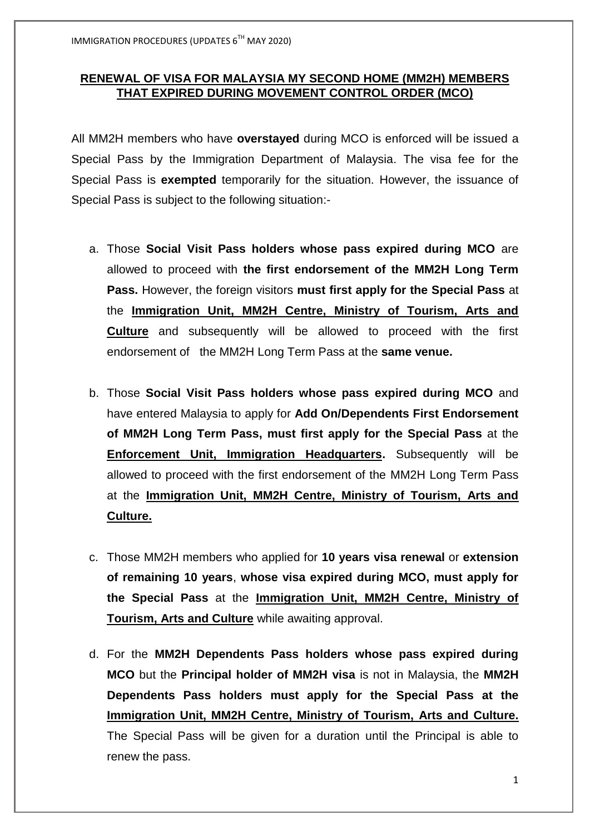## **RENEWAL OF VISA FOR MALAYSIA MY SECOND HOME (MM2H) MEMBERS THAT EXPIRED DURING MOVEMENT CONTROL ORDER (MCO)**

All MM2H members who have **overstayed** during MCO is enforced will be issued a Special Pass by the Immigration Department of Malaysia. The visa fee for the Special Pass is **exempted** temporarily for the situation. However, the issuance of Special Pass is subject to the following situation:-

- a. Those **Social Visit Pass holders whose pass expired during MCO** are allowed to proceed with **the first endorsement of the MM2H Long Term Pass.** However, the foreign visitors **must first apply for the Special Pass** at the **Immigration Unit, MM2H Centre, Ministry of Tourism, Arts and Culture** and subsequently will be allowed to proceed with the first endorsement of the MM2H Long Term Pass at the **same venue.**
- b. Those **Social Visit Pass holders whose pass expired during MCO** and have entered Malaysia to apply for **Add On/Dependents First Endorsement of MM2H Long Term Pass, must first apply for the Special Pass** at the **Enforcement Unit, Immigration Headquarters.** Subsequently will be allowed to proceed with the first endorsement of the MM2H Long Term Pass at the **Immigration Unit, MM2H Centre, Ministry of Tourism, Arts and Culture.**
- c. Those MM2H members who applied for **10 years visa renewal** or **extension of remaining 10 years**, **whose visa expired during MCO, must apply for the Special Pass** at the **Immigration Unit, MM2H Centre, Ministry of Tourism, Arts and Culture** while awaiting approval.
- d. For the **MM2H Dependents Pass holders whose pass expired during MCO** but the **Principal holder of MM2H visa** is not in Malaysia, the **MM2H Dependents Pass holders must apply for the Special Pass at the Immigration Unit, MM2H Centre, Ministry of Tourism, Arts and Culture.** The Special Pass will be given for a duration until the Principal is able to renew the pass.